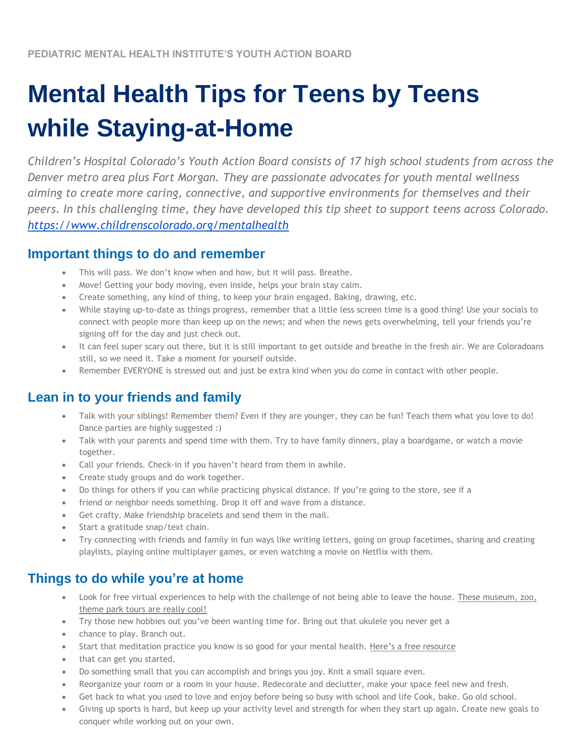# **Mental Health Tips for Teens by Teens while Staying-at-Home**

*Children's Hospital Colorado's Youth Action Board consists of 17 high school students from across the Denver metro area plus Fort Morgan. They are passionate advocates for youth mental wellness aiming to create more caring, connective, and supportive environments for themselves and their peers. In this challenging time, they have developed this tip sheet to support teens across Colorado. <https://www.childrenscolorado.org/mentalhealth>*

## **Important things to do and remember**

- This will pass. We don't know when and how, but it will pass. Breathe.
- Move! Getting your body moving, even inside, helps your brain stay calm.
- Create something, any kind of thing, to keep your brain engaged. Baking, drawing, etc.
- While staying up-to-date as things progress, remember that a little less screen time is a good thing! Use your socials to connect with people more than keep up on the news; and when the news gets overwhelming, tell your friends you're signing off for the day and just check out.
- It can feel super scary out there, but it is still important to get outside and breathe in the fresh air. We are Coloradoans still, so we need it. Take a moment for yourself outside.
- Remember EVERYONE is stressed out and just be extra kind when you do come in contact with other people.

# **Lean in to your friends and family**

- Talk with your siblings! Remember them? Even if they are younger, they can be fun! Teach them what you love to do! Dance parties are highly suggested :)
- Talk with your parents and spend time with them. Try to have family dinners, play a boardgame, or watch a movie together.
- Call your friends. Check-in if you haven't heard from them in awhile.
- Create study groups and do work together.
- Do things for others if you can while practicing physical distance. If you're going to the store, see if a
- friend or neighbor needs something. Drop it off and wave from a distance.
- Get crafty. Make friendship bracelets and send them in the mail.
- Start a gratitude snap/text chain.
- Try connecting with friends and family in fun ways like writing letters, going on group facetimes, sharing and creating playlists, playing online multiplayer games, or even watching a movie on Netflix with them.

# **Things to do while you're at home**

- Look for free virtual experiences to help with the challenge of not being able to leave the house. [These museum, zoo,](https://www.goodhousekeeping.com/life/travel/a31784720/best-virtual-tours/)  [theme park tours are really cool!](https://www.goodhousekeeping.com/life/travel/a31784720/best-virtual-tours/)
- Try those new hobbies out you've been wanting time for. Bring out that ukulele you never get a
- chance to play. Branch out.
- Start that meditation practice you know is so good for your mental health. [Here's a free resource](https://insighttimer.com/)
- that can get you started.
- Do something small that you can accomplish and brings you joy. Knit a small square even.
- Reorganize your room or a room in your house. Redecorate and declutter, make your space feel new and fresh.
- Get back to what you used to love and enjoy before being so busy with school and life Cook, bake. Go old school.
- Giving up sports is hard, but keep up your activity level and strength for when they start up again. Create new goals to conquer while working out on your own.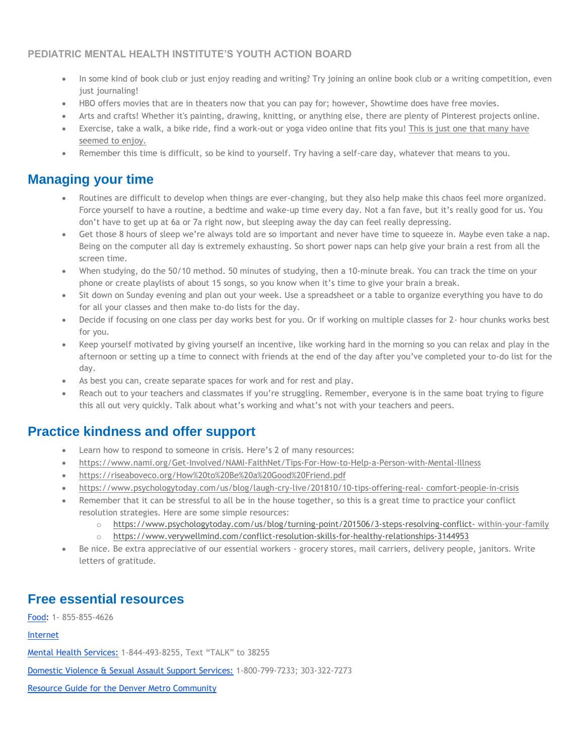#### **PEDIATRIC MENTAL HEALTH INSTITUTE'S YOUTH ACTION BOARD**

- In some kind of book club or just enjoy reading and writing? Try joining an online book club or a writing competition, even just journaling!
- HBO offers movies that are in theaters now that you can pay for; however, Showtime does have free movies.
- Arts and crafts! Whether it's painting, drawing, knitting, or anything else, there are plenty of Pinterest projects online.
- Exercise, take a walk, a bike ride, find a work-out or yoga video online that fits you! [This is just one](https://www.youtube.com/user/yogawithadriene) [that many have](https://www.youtube.com/user/yogawithadriene)  [seemed to enjoy.](https://www.youtube.com/user/yogawithadriene)
- Remember this time is difficult, so be kind to yourself. Try having a self-care day, whatever that means to you.

## **Managing your time**

- Routines are difficult to develop when things are ever-changing, but they also help make this chaos feel more organized. Force yourself to have a routine, a bedtime and wake-up time every day. Not a fan fave, but it's really good for us. You don't have to get up at 6a or 7a right now, but sleeping away the day can feel really depressing.
- Get those 8 hours of sleep we're always told are so important and never have time to squeeze in. Maybe even take a nap. Being on the computer all day is extremely exhausting. So short power naps can help give your brain a rest from all the screen time.
- When studying, do the 50/10 method. 50 minutes of studying, then a 10-minute break. You can track the time on your phone or create playlists of about 15 songs, so you know when it's time to give your brain a break.
- Sit down on Sunday evening and plan out your week. Use a spreadsheet or a table to organize everything you have to do for all your classes and then make to-do lists for the day.
- Decide if focusing on one class per day works best for you. Or if working on multiple classes for 2- hour chunks works best for you.
- Keep yourself motivated by giving yourself an incentive, like working hard in the morning so you can relax and play in the afternoon or setting up a time to connect with friends at the end of the day after you've completed your to-do list for the day.
- As best you can, create separate spaces for work and for rest and play.
- Reach out to your teachers and classmates if you're struggling. Remember, everyone is in the same boat trying to figure this all out very quickly. Talk about what's working and what's not with your teachers and peers.

# **Practice kindness and offer support**

- Learn how to respond to someone in crisis. Here's 2 of many resources:
- <https://www.nami.org/Get-Involved/NAMI-FaithNet/Tips-For-How-to-Help-a-Person-with-Mental-Illness>
- <https://riseaboveco.org/How%20to%20Be%20a%20Good%20Friend.pdf>
- [https://www.psychologytoday.com/us/blog/laugh-cry-live/201810/10-tips-offering-real-](https://www.psychologytoday.com/us/blog/laugh-cry-live/201810/10-tips-offering-real-comfort-people-in-crisis) [comfort-people-in-crisis](https://www.psychologytoday.com/us/blog/laugh-cry-live/201810/10-tips-offering-real-comfort-people-in-crisis)
- Remember that it can be stressful to all be in the house together, so this is a great time to practice your conflict resolution strategies. Here are some simple resources:
	- o <https://www.psychologytoday.com/us/blog/turning-point/201506/3-steps-resolving-conflict-> [within-your-family](https://www.psychologytoday.com/us/blog/turning-point/201506/3-steps-resolving-conflict-within-your-family) o <https://www.verywellmind.com/conflict-resolution-skills-for-healthy-relationships-3144953>
- Be nice. Be extra appreciative of our essential workers grocery stores, mail carriers, delivery people, janitors. Write letters of gratitude.

# **Free essential resources**

[Food:](https://www.hungerfreecolorado.org/food-resource-hotline/) 1- 855-855-4626

#### [Internet](https://www.internetessentials.com/)

[Mental Health Services:](https://coloradocrisisservices.org/) 1-844-493-8255, Text "TALK" to 38255

[Domestic Violence & Sexual Assault Support Services:](https://www.violencefreecolorado.org/resources/) 1-800-799-7233; 303-322-7273

[Resource Guide for the Denver Metro Community](https://drive.google.com/file/d/1XnbgxbpYUDoNe-I_UpCRo9b33b99a0Dx/view)